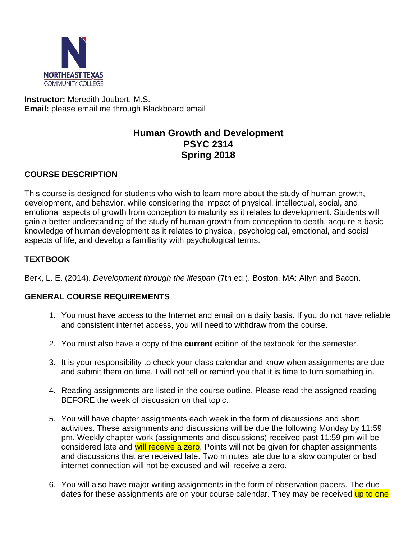

**Instructor:** Meredith Joubert, M.S. **Email:** please email me through Blackboard email

# **Human Growth and Development PSYC 2314 Spring 2018**

### **COURSE DESCRIPTION**

This course is designed for students who wish to learn more about the study of human growth, development, and behavior, while considering the impact of physical, intellectual, social, and emotional aspects of growth from conception to maturity as it relates to development. Students will gain a better understanding of the study of human growth from conception to death, acquire a basic knowledge of human development as it relates to physical, psychological, emotional, and social aspects of life, and develop a familiarity with psychological terms.

### **TEXTBOOK**

Berk, L. E. (2014). *Development through the lifespan* (7th ed.). Boston, MA: Allyn and Bacon.

#### **GENERAL COURSE REQUIREMENTS**

- 1. You must have access to the Internet and email on a daily basis. If you do not have reliable and consistent internet access, you will need to withdraw from the course.
- 2. You must also have a copy of the **current** edition of the textbook for the semester.
- 3. It is your responsibility to check your class calendar and know when assignments are due and submit them on time. I will not tell or remind you that it is time to turn something in.
- 4. Reading assignments are listed in the course outline. Please read the assigned reading BEFORE the week of discussion on that topic.
- 5. You will have chapter assignments each week in the form of discussions and short activities. These assignments and discussions will be due the following Monday by 11:59 pm. Weekly chapter work (assignments and discussions) received past 11:59 pm will be considered late and will receive a zero. Points will not be given for chapter assignments and discussions that are received late. Two minutes late due to a slow computer or bad internet connection will not be excused and will receive a zero.
- 6. You will also have major writing assignments in the form of observation papers. The due dates for these assignments are on your course calendar. They may be received up to one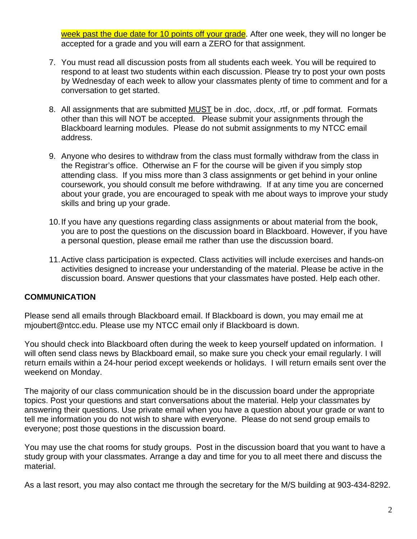week past the due date for 10 points off your grade. After one week, they will no longer be accepted for a grade and you will earn a ZERO for that assignment.

- 7. You must read all discussion posts from all students each week. You will be required to respond to at least two students within each discussion. Please try to post your own posts by Wednesday of each week to allow your classmates plenty of time to comment and for a conversation to get started.
- 8. All assignments that are submitted MUST be in .doc, .docx, .rtf, or .pdf format. Formats other than this will NOT be accepted. Please submit your assignments through the Blackboard learning modules. Please do not submit assignments to my NTCC email address.
- 9. Anyone who desires to withdraw from the class must formally withdraw from the class in the Registrar's office. Otherwise an F for the course will be given if you simply stop attending class. If you miss more than 3 class assignments or get behind in your online coursework, you should consult me before withdrawing. If at any time you are concerned about your grade, you are encouraged to speak with me about ways to improve your study skills and bring up your grade.
- 10. If you have any questions regarding class assignments or about material from the book, you are to post the questions on the discussion board in Blackboard. However, if you have a personal question, please email me rather than use the discussion board.
- 11. Active class participation is expected. Class activities will include exercises and hands-on activities designed to increase your understanding of the material. Please be active in the discussion board. Answer questions that your classmates have posted. Help each other.

# **COMMUNICATION**

Please send all emails through Blackboard email. If Blackboard is down, you may email me at mjoubert@ntcc.edu. Please use my NTCC email only if Blackboard is down.

You should check into Blackboard often during the week to keep yourself updated on information. I will often send class news by Blackboard email, so make sure you check your email regularly. I will return emails within a 24-hour period except weekends or holidays. I will return emails sent over the weekend on Monday.

The majority of our class communication should be in the discussion board under the appropriate topics. Post your questions and start conversations about the material. Help your classmates by answering their questions. Use private email when you have a question about your grade or want to tell me information you do not wish to share with everyone. Please do not send group emails to everyone; post those questions in the discussion board.

You may use the chat rooms for study groups. Post in the discussion board that you want to have a study group with your classmates. Arrange a day and time for you to all meet there and discuss the material.

As a last resort, you may also contact me through the secretary for the M/S building at 903-434-8292.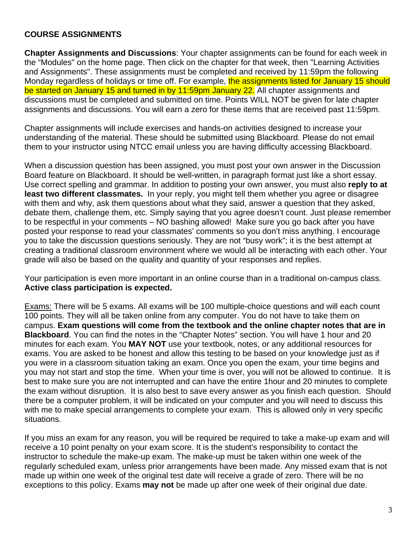### **COURSE ASSIGNMENTS**

**Chapter Assignments and Discussions**: Your chapter assignments can be found for each week in the "Modules" on the home page. Then click on the chapter for that week, then "Learning Activities and Assignments". These assignments must be completed and received by 11:59pm the following Monday regardless of holidays or time off. For example, the assignments listed for January 15 should be started on January 15 and turned in by 11:59pm January 22. All chapter assignments and discussions must be completed and submitted on time. Points WILL NOT be given for late chapter assignments and discussions. You will earn a zero for these items that are received past 11:59pm.

Chapter assignments will include exercises and hands-on activities designed to increase your understanding of the material. These should be submitted using Blackboard. Please do not email them to your instructor using NTCC email unless you are having difficulty accessing Blackboard.

When a discussion question has been assigned, you must post your own answer in the Discussion Board feature on Blackboard. It should be well-written, in paragraph format just like a short essay. Use correct spelling and grammar. In addition to posting your own answer, you must also **reply to at least two different classmates.** In your reply, you might tell them whether you agree or disagree with them and why, ask them questions about what they said, answer a question that they asked, debate them, challenge them, etc. Simply saying that you agree doesn't count. Just please remember to be respectful in your comments – NO bashing allowed! Make sure you go back after you have posted your response to read your classmates' comments so you don't miss anything. I encourage you to take the discussion questions seriously. They are not "busy work"; it is the best attempt at creating a traditional classroom environment where we would all be interacting with each other. Your grade will also be based on the quality and quantity of your responses and replies.

Your participation is even more important in an online course than in a traditional on-campus class. **Active class participation is expected.** 

Exams: There will be 5 exams. All exams will be 100 multiple-choice questions and will each count 100 points. They will all be taken online from any computer. You do not have to take them on campus. **Exam questions will come from the textbook and the online chapter notes that are in Blackboard**. You can find the notes in the "Chapter Notes" section. You will have 1 hour and 20 minutes for each exam. You **MAY NOT** use your textbook, notes, or any additional resources for exams. You are asked to be honest and allow this testing to be based on your knowledge just as if you were in a classroom situation taking an exam. Once you open the exam, your time begins and you may not start and stop the time. When your time is over, you will not be allowed to continue. It is best to make sure you are not interrupted and can have the entire 1hour and 20 minutes to complete the exam without disruption. It is also best to save every answer as you finish each question. Should there be a computer problem, it will be indicated on your computer and you will need to discuss this with me to make special arrangements to complete your exam. This is allowed only in very specific situations.

If you miss an exam for any reason, you will be required be required to take a make-up exam and will receive a 10 point penalty on your exam score. It is the student's responsibility to contact the instructor to schedule the make-up exam. The make-up must be taken within one week of the regularly scheduled exam, unless prior arrangements have been made. Any missed exam that is not made up within one week of the original test date will receive a grade of zero. There will be no exceptions to this policy. Exams **may not** be made up after one week of their original due date.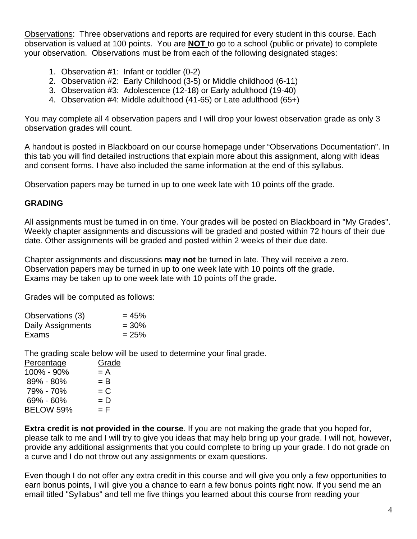Observations: Three observations and reports are required for every student in this course. Each observation is valued at 100 points. You are **NOT** to go to a school (public or private) to complete your observation. Observations must be from each of the following designated stages:

- 1. Observation #1: Infant or toddler (0-2)
- 2. Observation #2: Early Childhood (3-5) or Middle childhood (6-11)
- 3. Observation #3: Adolescence (12-18) or Early adulthood (19-40)
- 4. Observation #4: Middle adulthood (41-65) or Late adulthood (65+)

You may complete all 4 observation papers and I will drop your lowest observation grade as only 3 observation grades will count.

A handout is posted in Blackboard on our course homepage under "Observations Documentation". In this tab you will find detailed instructions that explain more about this assignment, along with ideas and consent forms. I have also included the same information at the end of this syllabus.

Observation papers may be turned in up to one week late with 10 points off the grade.

#### **GRADING**

All assignments must be turned in on time. Your grades will be posted on Blackboard in "My Grades". Weekly chapter assignments and discussions will be graded and posted within 72 hours of their due date. Other assignments will be graded and posted within 2 weeks of their due date.

Chapter assignments and discussions **may not** be turned in late. They will receive a zero. Observation papers may be turned in up to one week late with 10 points off the grade. Exams may be taken up to one week late with 10 points off the grade.

Grades will be computed as follows:

| Observations (3)  | $= 45%$ |
|-------------------|---------|
| Daily Assignments | $= 30%$ |
| Exams             | $= 25%$ |

The grading scale below will be used to determine your final grade.

| Percentage | Grade |
|------------|-------|
| 100% - 90% | $= A$ |
| 89% - 80%  | $= B$ |
| 79% - 70%  | $= C$ |
| 69% - 60%  | $= D$ |
| BELOW 59%  | = F   |

**Extra credit is not provided in the course**. If you are not making the grade that you hoped for, please talk to me and I will try to give you ideas that may help bring up your grade. I will not, however, provide any additional assignments that you could complete to bring up your grade. I do not grade on a curve and I do not throw out any assignments or exam questions.

Even though I do not offer any extra credit in this course and will give you only a few opportunities to earn bonus points, I will give you a chance to earn a few bonus points right now. If you send me an email titled "Syllabus" and tell me five things you learned about this course from reading your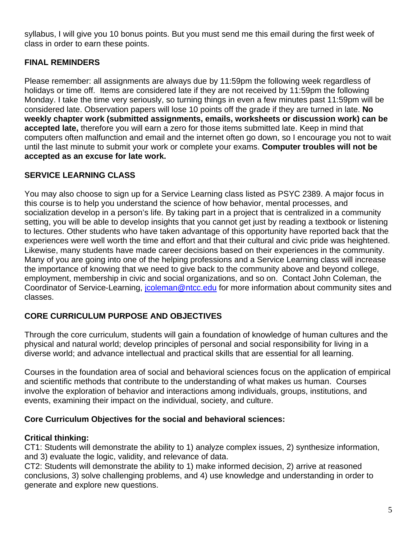syllabus, I will give you 10 bonus points. But you must send me this email during the first week of class in order to earn these points.

# **FINAL REMINDERS**

Please remember: all assignments are always due by 11:59pm the following week regardless of holidays or time off. Items are considered late if they are not received by 11:59pm the following Monday. I take the time very seriously, so turning things in even a few minutes past 11:59pm will be considered late. Observation papers will lose 10 points off the grade if they are turned in late. **No weekly chapter work (submitted assignments, emails, worksheets or discussion work) can be accepted late,** therefore you will earn a zero for those items submitted late. Keep in mind that computers often malfunction and email and the internet often go down, so I encourage you not to wait until the last minute to submit your work or complete your exams. **Computer troubles will not be accepted as an excuse for late work.** 

# **SERVICE LEARNING CLASS**

You may also choose to sign up for a Service Learning class listed as PSYC 2389. A major focus in this course is to help you understand the science of how behavior, mental processes, and socialization develop in a person's life. By taking part in a project that is centralized in a community setting, you will be able to develop insights that you cannot get just by reading a textbook or listening to lectures. Other students who have taken advantage of this opportunity have reported back that the experiences were well worth the time and effort and that their cultural and civic pride was heightened. Likewise, many students have made career decisions based on their experiences in the community. Many of you are going into one of the helping professions and a Service Learning class will increase the importance of knowing that we need to give back to the community above and beyond college, employment, membership in civic and social organizations, and so on. Contact John Coleman, the Coordinator of Service-Learning, jooleman@ntcc.edu for more information about community sites and classes.

# **CORE CURRICULUM PURPOSE AND OBJECTIVES**

Through the core curriculum, students will gain a foundation of knowledge of human cultures and the physical and natural world; develop principles of personal and social responsibility for living in a diverse world; and advance intellectual and practical skills that are essential for all learning.

Courses in the foundation area of social and behavioral sciences focus on the application of empirical and scientific methods that contribute to the understanding of what makes us human. Courses involve the exploration of behavior and interactions among individuals, groups, institutions, and events, examining their impact on the individual, society, and culture.

# **Core Curriculum Objectives for the social and behavioral sciences:**

# **Critical thinking:**

CT1: Students will demonstrate the ability to 1) analyze complex issues, 2) synthesize information, and 3) evaluate the logic, validity, and relevance of data.

CT2: Students will demonstrate the ability to 1) make informed decision, 2) arrive at reasoned conclusions, 3) solve challenging problems, and 4) use knowledge and understanding in order to generate and explore new questions.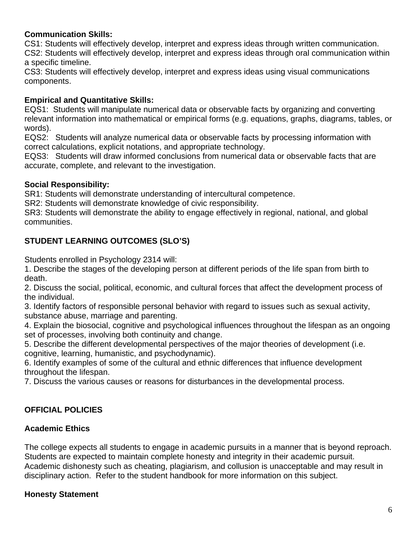### **Communication Skills:**

CS1: Students will effectively develop, interpret and express ideas through written communication. CS2: Students will effectively develop, interpret and express ideas through oral communication within a specific timeline.

CS3: Students will effectively develop, interpret and express ideas using visual communications components.

### **Empirical and Quantitative Skills:**

EQS1: Students will manipulate numerical data or observable facts by organizing and converting relevant information into mathematical or empirical forms (e.g. equations, graphs, diagrams, tables, or words).

EQS2: Students will analyze numerical data or observable facts by processing information with correct calculations, explicit notations, and appropriate technology.

EQS3: Students will draw informed conclusions from numerical data or observable facts that are accurate, complete, and relevant to the investigation.

### **Social Responsibility:**

SR1: Students will demonstrate understanding of intercultural competence.

SR2: Students will demonstrate knowledge of civic responsibility.

SR3: Students will demonstrate the ability to engage effectively in regional, national, and global communities.

## **STUDENT LEARNING OUTCOMES (SLO'S)**

Students enrolled in Psychology 2314 will:

1. Describe the stages of the developing person at different periods of the life span from birth to death.

2. Discuss the social, political, economic, and cultural forces that affect the development process of the individual.

3. Identify factors of responsible personal behavior with regard to issues such as sexual activity, substance abuse, marriage and parenting.

4. Explain the biosocial, cognitive and psychological influences throughout the lifespan as an ongoing set of processes, involving both continuity and change.

5. Describe the different developmental perspectives of the major theories of development (i.e. cognitive, learning, humanistic, and psychodynamic).

6. Identify examples of some of the cultural and ethnic differences that influence development throughout the lifespan.

7. Discuss the various causes or reasons for disturbances in the developmental process.

### **OFFICIAL POLICIES**

#### **Academic Ethics**

The college expects all students to engage in academic pursuits in a manner that is beyond reproach. Students are expected to maintain complete honesty and integrity in their academic pursuit. Academic dishonesty such as cheating, plagiarism, and collusion is unacceptable and may result in disciplinary action. Refer to the student handbook for more information on this subject.

### **Honesty Statement**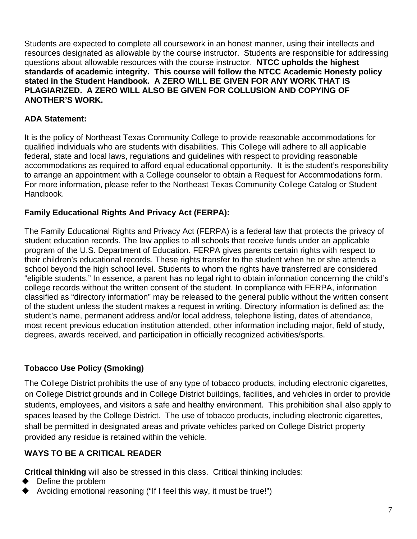Students are expected to complete all coursework in an honest manner, using their intellects and resources designated as allowable by the course instructor. Students are responsible for addressing questions about allowable resources with the course instructor. **NTCC upholds the highest standards of academic integrity. This course will follow the NTCC Academic Honesty policy stated in the Student Handbook. A ZERO WILL BE GIVEN FOR ANY WORK THAT IS PLAGIARIZED. A ZERO WILL ALSO BE GIVEN FOR COLLUSION AND COPYING OF ANOTHER'S WORK.** 

## **ADA Statement:**

It is the policy of Northeast Texas Community College to provide reasonable accommodations for qualified individuals who are students with disabilities. This College will adhere to all applicable federal, state and local laws, regulations and guidelines with respect to providing reasonable accommodations as required to afford equal educational opportunity. It is the student's responsibility to arrange an appointment with a College counselor to obtain a Request for Accommodations form. For more information, please refer to the Northeast Texas Community College Catalog or Student Handbook.

# **Family Educational Rights And Privacy Act (FERPA):**

The Family Educational Rights and Privacy Act (FERPA) is a federal law that protects the privacy of student education records. The law applies to all schools that receive funds under an applicable program of the U.S. Department of Education. FERPA gives parents certain rights with respect to their children's educational records. These rights transfer to the student when he or she attends a school beyond the high school level. Students to whom the rights have transferred are considered "eligible students." In essence, a parent has no legal right to obtain information concerning the child's college records without the written consent of the student. In compliance with FERPA, information classified as "directory information" may be released to the general public without the written consent of the student unless the student makes a request in writing. Directory information is defined as: the student's name, permanent address and/or local address, telephone listing, dates of attendance, most recent previous education institution attended, other information including major, field of study, degrees, awards received, and participation in officially recognized activities/sports.

# **Tobacco Use Policy (Smoking)**

The College District prohibits the use of any type of tobacco products, including electronic cigarettes, on College District grounds and in College District buildings, facilities, and vehicles in order to provide students, employees, and visitors a safe and healthy environment. This prohibition shall also apply to spaces leased by the College District. The use of tobacco products, including electronic cigarettes, shall be permitted in designated areas and private vehicles parked on College District property provided any residue is retained within the vehicle.

# **WAYS TO BE A CRITICAL READER**

**Critical thinking** will also be stressed in this class. Critical thinking includes:

- Define the problem
- Avoiding emotional reasoning ("If I feel this way, it must be true!")